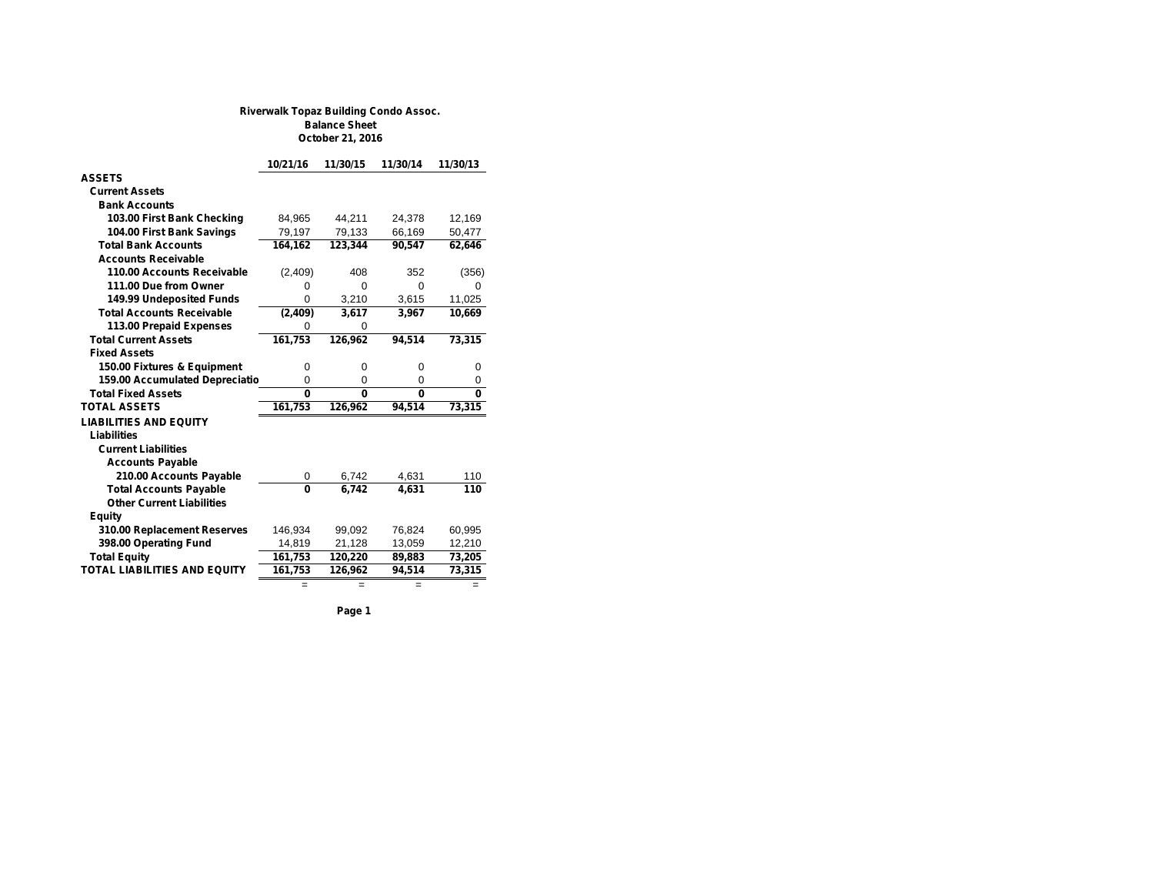## **Riverwalk Topaz Building Condo Assoc. Balance Sheet October 21, 2016**

| 10/21/16     | 11/30/15 | 11/30/14 | 11/30/13 |
|--------------|----------|----------|----------|
|              |          |          |          |
|              |          |          |          |
|              |          |          |          |
| 84.965       | 44,211   | 24.378   | 12.169   |
| 79,197       | 79,133   | 66,169   | 50,477   |
| 164,162      | 123,344  | 90,547   | 62,646   |
|              |          |          |          |
| (2,409)      | 408      | 352      | (356)    |
| 0            | $\Omega$ | $\Omega$ | 0        |
| $\Omega$     | 3,210    | 3,615    | 11,025   |
| (2, 409)     | 3,617    | 3,967    | 10,669   |
| $\Omega$     | $\Omega$ |          |          |
| 161,753      | 126,962  | 94,514   | 73,315   |
|              |          |          |          |
| 0            | 0        | $\Omega$ | 0        |
| $\mathbf 0$  | 0        | 0        | 0        |
| $\mathbf{0}$ | $\Omega$ | $\Omega$ | 0        |
| 161,753      | 126,962  | 94,514   | 73,315   |
|              |          |          |          |
|              |          |          |          |
|              |          |          |          |
|              |          |          |          |
| 0            | 6,742    | 4,631    | 110      |
| $\mathbf{0}$ | 6.742    | 4.631    | 110      |
|              |          |          |          |
|              |          |          |          |
| 146,934      | 99,092   | 76,824   | 60,995   |
| 14,819       | 21,128   | 13,059   | 12,210   |
| 161,753      | 120,220  | 89,883   | 73,205   |
| 161,753      | 126,962  | 94,514   | 73,315   |
| =            | $=$      | Ξ        |          |
|              |          |          |          |

**Page 1**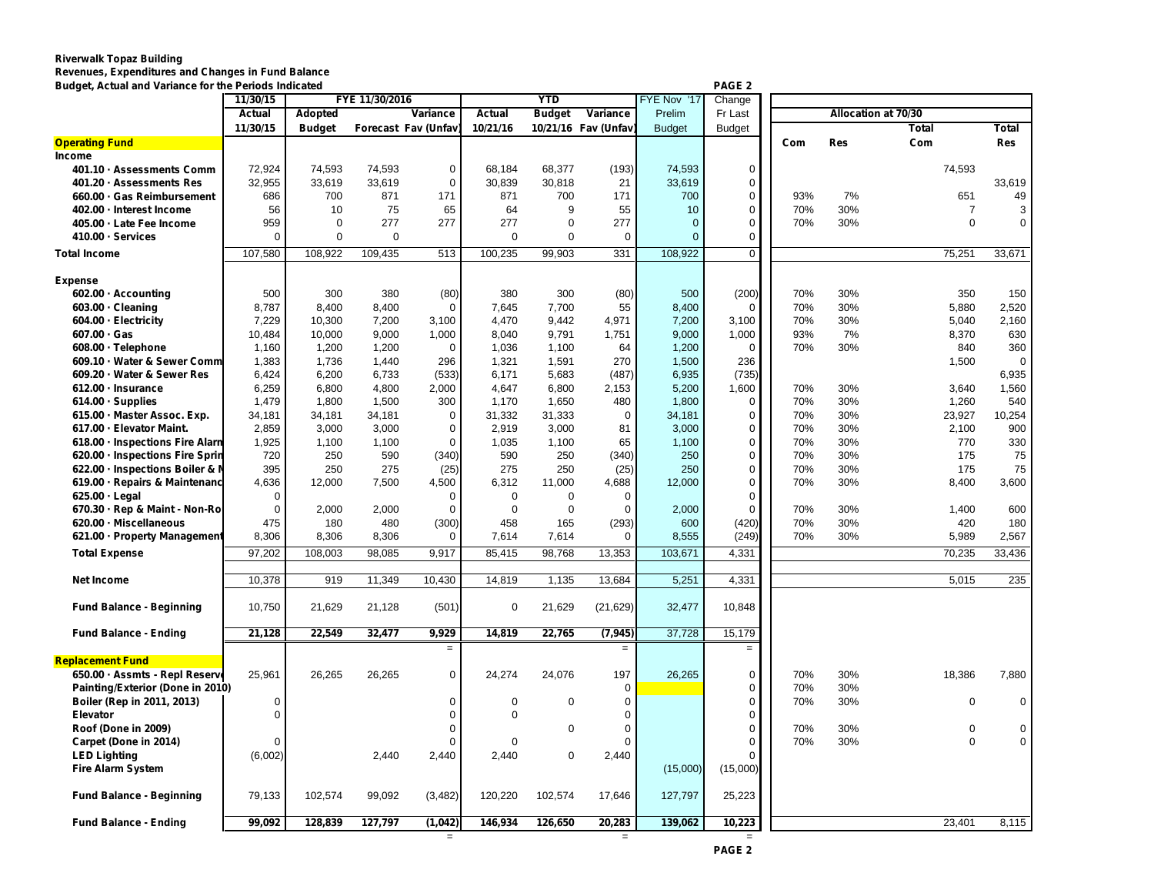## **Riverwalk Topaz Building Revenues, Expenditures and Changes in Fund Balance**

| Budget, Actual and Variance for the Periods Indicated |             |                |                |                      |                                            |             |                     |               | PAGE 2         |                     |            |                |             |
|-------------------------------------------------------|-------------|----------------|----------------|----------------------|--------------------------------------------|-------------|---------------------|---------------|----------------|---------------------|------------|----------------|-------------|
|                                                       | 11/30/15    |                | FYE 11/30/2016 |                      | <b>YTD</b><br>FYE Nov '17<br>Change        |             |                     |               |                |                     |            |                |             |
|                                                       | Actual      | <b>Adopted</b> |                | Variance             | <b>Actual</b><br>Variance<br><b>Budget</b> |             |                     | Prelim        | Fr Last        | Allocation at 70/30 |            |                |             |
|                                                       | 11/30/15    | <b>Budget</b>  |                | Forecast Fav (Unfav) | 10/21/16                                   |             | 10/21/16 Fav (Unfav | <b>Budget</b> | <b>Budget</b>  |                     |            | Total          | Total       |
| <b>Operating Fund</b>                                 |             |                |                |                      |                                            |             |                     |               |                | Com                 | <b>Res</b> | Com            | <b>Res</b>  |
| Income                                                |             |                |                |                      |                                            |             |                     |               |                |                     |            |                |             |
| 401.10 · Assessments Comm                             | 72,924      | 74,593         | 74,593         | $\mathbf 0$          | 68,184                                     | 68,377      | (193)               | 74,593        | 0              |                     |            | 74,593         |             |
| 401.20 · Assessments Res                              | 32,955      | 33,619         | 33,619         | $\mathbf 0$          | 30,839                                     | 30,818      | 21                  | 33,619        | 0              |                     |            |                | 33,619      |
| 660.00 · Gas Reimbursement                            | 686         | 700            | 871            | 171                  | 871                                        | 700         | 171                 | 700           | 0              | 93%                 | 7%         | 651            | 49          |
| 402.00 · Interest Income                              | 56          | 10             | 75             | 65                   | 64                                         | 9           | 55                  | 10            | 0              | 70%                 | 30%        | $\overline{7}$ | 3           |
| 405.00 · Late Fee Income                              | 959         | $\mathbf 0$    | 277            | 277                  | 277                                        | $\Omega$    | 277                 | $\mathbf{0}$  | 0              | 70%                 | 30%        | $\Omega$       | $\mathbf 0$ |
| 410.00 · Services                                     | $\mathbf 0$ | 0              | $\mathbf 0$    |                      | 0                                          | $\mathbf 0$ | 0                   | $\mathbf{0}$  | 0              |                     |            |                |             |
| <b>Total Income</b>                                   | 107,580     | 108,922        | 109,435        | 513                  | 100,235                                    | 99,903      | 331                 | 108,922       | $\overline{0}$ |                     |            | 75,251         | 33,671      |
|                                                       |             |                |                |                      |                                            |             |                     |               |                |                     |            |                |             |
| <b>Expense</b>                                        |             |                |                |                      |                                            |             |                     |               |                |                     |            |                |             |
| 602.00 · Accounting                                   | 500         | 300            | 380            | (80)                 | 380                                        | 300         | (80)                | 500           | (200)          | 70%                 | 30%        | 350            | 150         |
| 603.00 · Cleaning                                     | 8.787       | 8,400          | 8,400          | $\mathbf 0$          | 7.645                                      | 7,700       | 55                  | 8.400         | $\mathbf 0$    | 70%                 | 30%        | 5.880          | 2,520       |
| 604.00 · Electricity                                  | 7,229       | 10,300         | 7,200          | 3,100                | 4,470                                      | 9,442       | 4,971               | 7,200         | 3,100          | 70%                 | 30%        | 5,040          | 2,160       |
| $607.00 \cdot Gas$                                    | 10,484      | 10,000         | 9,000          | 1,000                | 8,040                                      | 9,791       | 1,751               | 9,000         | 1,000          | 93%                 | 7%         | 8,370          | 630         |
| 608.00 · Telephone                                    | 1,160       | 1,200          | 1,200          | $\Omega$             | 1,036                                      | 1,100       | 64                  | 1,200         | 0              | 70%                 | 30%        | 840            | 360         |
| 609.10 · Water & Sewer Comm                           | 1,383       | 1,736          | 1,440          | 296                  | 1,321                                      | 1,591       | 270                 | 1,500         | 236            |                     |            | 1,500          | $\Omega$    |
| 609.20 - Water & Sewer Res                            | 6,424       | 6,200          | 6,733          | (533)                | 6,171                                      | 5,683       | (487)               | 6,935         | (735)          |                     |            |                | 6,935       |
| 612.00 · Insurance                                    | 6,259       | 6,800          | 4,800          | 2,000                | 4,647                                      | 6,800       | 2,153               | 5,200         | 1,600          | 70%                 | 30%        | 3,640          | 1,560       |
| 614.00 · Supplies                                     | 1,479       | 1,800          | 1,500          | 300                  | 1,170                                      | 1,650       | 480                 | 1,800         | $\mathbf 0$    | 70%                 | 30%        | 1,260          | 540         |
|                                                       |             |                |                | 0                    | 31,332                                     | 31,333      | $\Omega$            |               | 0              | 70%                 | 30%        |                | 10,254      |
| 615.00 - Master Assoc. Exp.                           | 34,181      | 34,181         | 34,181         |                      |                                            |             |                     | 34,181        |                |                     |            | 23,927         |             |
| 617.00 - Elevator Maint.                              | 2,859       | 3,000          | 3,000          | $\mathbf 0$          | 2,919                                      | 3,000       | 81                  | 3,000         | 0              | 70%                 | 30%        | 2,100          | 900         |
| 618.00 · Inspections Fire Alarn                       | 1,925       | 1,100          | 1,100          | $\Omega$             | 1,035                                      | 1,100       | 65                  | 1,100         | 0              | 70%                 | 30%        | 770            | 330         |
| 620.00 · Inspections Fire Sprin                       | 720         | 250            | 590            | (340)                | 590                                        | 250         | (340)               | 250           | 0              | 70%                 | 30%        | 175            | 75          |
| 622.00 · Inspections Boiler & M                       | 395         | 250            | 275            | (25)                 | 275                                        | 250         | (25)                | 250           | 0              | 70%                 | 30%        | 175            | 75          |
| 619.00 · Repairs & Maintenanc                         | 4,636       | 12,000         | 7,500          | 4,500                | 6,312                                      | 11,000      | 4,688               | 12,000        | 0              | 70%                 | 30%        | 8,400          | 3,600       |
| 625.00 · Legal                                        | $\mathbf 0$ |                |                | $\mathbf 0$          | $\mathbf 0$                                | $\Omega$    | $\Omega$            |               | 0              |                     |            |                |             |
| 670.30 - Rep & Maint - Non-Ro                         | $\mathbf 0$ | 2.000          | 2,000          | $\mathbf 0$          | $\mathbf 0$                                | $\Omega$    | $\Omega$            | 2.000         | 0              | 70%                 | 30%        | 1,400          | 600         |
| 620.00 - Miscellaneous                                | 475         | 180            | 480            | (300)                | 458                                        | 165         | (293)               | 600           | (420)          | 70%                 | 30%        | 420            | 180         |
| 621.00 - Property Management                          | 8,306       | 8,306          | 8,306          | $\mathbf 0$          | 7,614                                      | 7,614       | $\Omega$            | 8,555         | (249)          | 70%                 | 30%        | 5,989          | 2,567       |
| <b>Total Expense</b>                                  | 97,202      | 108,003        | 98,085         | 9,917                | 85,415                                     | 98,768      | 13,353              | 103,671       | 4,331          |                     |            | 70,235         | 33,436      |
|                                                       |             |                |                |                      |                                            |             |                     |               |                |                     |            |                |             |
| <b>Net Income</b>                                     | 10,378      | 919            | 11,349         | 10,430               | 14,819                                     | 1,135       | 13,684              | 5,251         | 4,331          |                     |            | 5,015          | 235         |
| <b>Fund Balance - Beginning</b>                       | 10,750      | 21,629         | 21,128         | (501)                | $\mathbf 0$                                | 21,629      | (21, 629)           | 32,477        | 10,848         |                     |            |                |             |
|                                                       |             |                |                |                      |                                            |             |                     |               |                |                     |            |                |             |
| <b>Fund Balance - Ending</b>                          | 21,128      | 22,549         | 32,477         | 9,929                | 14,819                                     | 22,765      | (7, 945)            | 37,728        | 15,179         |                     |            |                |             |
| <b>Replacement Fund</b>                               |             |                |                | $\equiv$             |                                            |             | $=$                 |               | $\equiv$       |                     |            |                |             |
|                                                       |             |                |                |                      |                                            |             |                     |               |                |                     |            |                |             |
| 650.00 · Assmts - Repl Reserve                        | 25,961      | 26,265         | 26,265         | $\mathbf 0$          | 24,274                                     | 24,076      | 197                 | 26,265        | 0              | 70%                 | 30%        | 18,386         | 7,880       |
| Painting/Exterior (Done in 2010)                      |             |                |                |                      |                                            |             | $\Omega$            |               | 0              | 70%                 | 30%        |                |             |
| Boiler (Rep in 2011, 2013)                            | $\mathbf 0$ |                |                | $\mathbf 0$          | $\mathbf 0$                                | $\Omega$    | $\mathbf 0$         |               | 0              | 70%                 | 30%        | $\mathbf 0$    | $\mathbf 0$ |
| Elevator                                              | $\mathbf 0$ |                |                | $\mathbf 0$          | $\Omega$                                   |             | $\Omega$            |               | 0              |                     |            |                |             |
| Roof (Done in 2009)                                   |             |                |                | $\mathbf 0$          |                                            | $\mathbf 0$ | $\Omega$            |               | 0              | 70%                 | 30%        | $\mathbf 0$    | 0           |
| Carpet (Done in 2014)                                 | $\Omega$    |                |                | $\Omega$             | $\Omega$                                   |             | $\Omega$            |               | 0              | 70%                 | 30%        | $\Omega$       | 0           |
| <b>LED Lighting</b>                                   | (6,002)     |                | 2,440          | 2,440                | 2.440                                      | $\mathbf 0$ | 2,440               |               | 0              |                     |            |                |             |
| <b>Fire Alarm System</b>                              |             |                |                |                      |                                            |             |                     | (15,000)      | (15,000)       |                     |            |                |             |
| <b>Fund Balance - Beginning</b>                       | 79,133      | 102,574        | 99,092         | (3, 482)             | 120,220                                    | 102,574     | 17,646              | 127,797       | 25,223         |                     |            |                |             |
|                                                       |             |                |                |                      |                                            |             |                     |               |                |                     |            |                |             |
| <b>Fund Balance - Ending</b>                          | 99.092      | 128.839        | 127.797        | (1,042)              | 146.934                                    | 126.650     | 20.283              | 139.062       | 10.223         |                     |            | 23.401         | 8.115       |